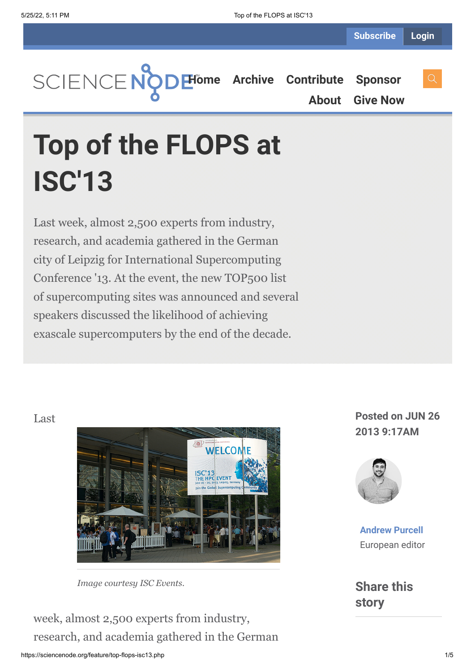**[Home](https://sciencenode.org/) [Archive](https://sciencenode.org/archive/index.php) [Contribute](https://sciencenode.org/contribute/index.php) [Sponsor](https://sciencenode.org/sponsor/index.php) [About](https://sciencenode.org/about/index.php) [Give Now](https://sciencenode.org/donate/index.php)**

## **Top of the FLOPS at ISC'13**

Last week, almost 2,500 experts from industry, research, and academia gathered in the German city of Leipzig for International Supercomputing Conference '13. At the event, the new TOP500 list of supercomputing sites was announced and several speakers discussed the likelihood of achieving exascale supercomputers by the end of the decade.

## Last



*Image courtesy ISC Events.*

week, almost 2,500 experts from industry, research, and academia gathered in the German

## **Posted on JUN 26 2013 9:17AM**



**[Andrew Purcell](https://sciencenode.org/author/andrew-purcell.php)** European editor

**Share this story**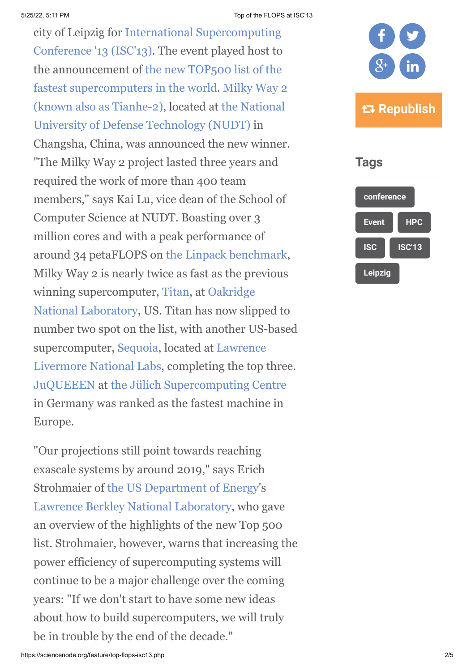5/25/22, 5:11 PM Top of the FLOPS at ISC'13

city of Leipzig for International Supercomputing [Conference '13 \(ISC'13\). The event played host to](http://www.isc-events.com/isc13/) [the announcement of the new TOP500 list of the](http://www.top500.org/lists/) [fastest supercomputers in the world. Milky Way 2](http://www.top500.org/system/177999) [\(known also as Tianhe-2\), located at the National](http://english.nudt.edu.cn/) University of Defense Technology (NUDT) in Changsha, China, was announced the new winner. "The Milky Way 2 project lasted three years and required the work of more than 400 team members," says Kai Lu, vice dean of the School of Computer Science at NUDT. Boasting over 3 million cores and with a peak performance of around 34 petaFLOPS on [the Linpack benchmark](http://www.top500.org/project/linpack/), Milky Way 2 is nearly twice as fast as the previous winning supercomputer, [Titan,](http://www.olcf.ornl.gov/titan/) at Oakridge [National Laboratory, US. Titan has now slip](http://www.ornl.gov/)ped to number two spot on the list, with another US-based [supercomputer, Sequoia, located at Lawrence](https://www.llnl.gov/) Livermore National Labs, completing the top three. [JuQUEEEN](http://www.fz-juelich.de/ias/jsc/EN/Expertise/Supercomputers/JUQUEEN/JUQUEEN_node.html) at [the Jülich Supercomputing Centre](http://www.fz-juelich.de/portal/EN/Home/home_node.html) in Germany was ranked as the fastest machine in Europe.

"Our projections still point towards reaching exascale systems by around 2019," says Erich Strohmaier of [the US Department of Energy](http://energy.gov/)'s [Lawrence Berkley National Laboratory](http://www.lbl.gov/), who gave an overview of the highlights of the new Top 500 list. Strohmaier, however, warns that increasing the power efficiency of supercomputing systems will continue to be a major challenge over the coming years: "If we don't start to have some new ideas about how to build supercomputers, we will truly be in trouble by the end of the decade."



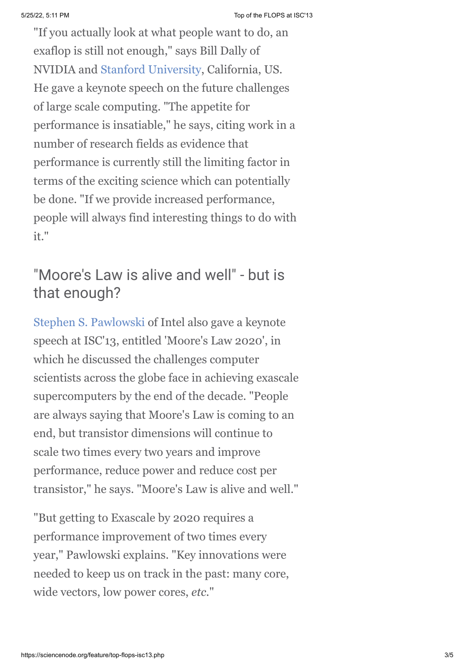"If you actually look at what people want to do, an exaflop is still not enough," says Bill Dally of NVIDIA and [Stanford University](http://www.stanford.edu/), California, US. He gave a keynote speech on the future challenges of large scale computing. "The appetite for performance is insatiable," he says, citing work in a number of research fields as evidence that performance is currently still the limiting factor in terms of the exciting science which can potentially be done. "If we provide increased performance, people will always find interesting things to do with it."

## "Moore's Law is alive and well" - but is that enough?

[Stephen S. Pawlowski](http://www.isc-events.com/isc13_ap/presentationdetails.php?t=contribution&o=1929&a=select&ra=download) of Intel also gave a keynote speech at ISC'13, entitled 'Moore's Law 2020', in which he discussed the challenges computer scientists across the globe face in achieving exascale supercomputers by the end of the decade. "People are always saying that Moore's Law is coming to an end, but transistor dimensions will continue to scale two times every two years and improve performance, reduce power and reduce cost per transistor," he says. "Moore's Law is alive and well."

"But getting to Exascale by 2020 requires a performance improvement of two times every year," Pawlowski explains. "Key innovations were needed to keep us on track in the past: many core, wide vectors, low power cores, *etc.*"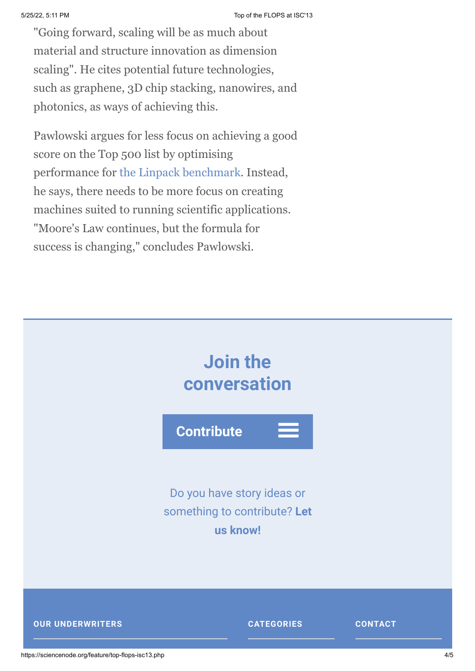"Going forward, scaling will be as much about material and structure innovation as dimension scaling". He cites potential future technologies, such as graphene, 3D chip stacking, nanowires, and photonics, as ways of achieving this.

Pawlowski argues for less focus on achieving a good score on the Top 500 list by optimising performance for [the Linpack benchmark.](http://www.top500.org/project/linpack/) Instead, he says, there needs to be more focus on creating machines suited to running scientific applications. "Moore's Law continues, but the formula for success is changing," concludes Pawlowski.